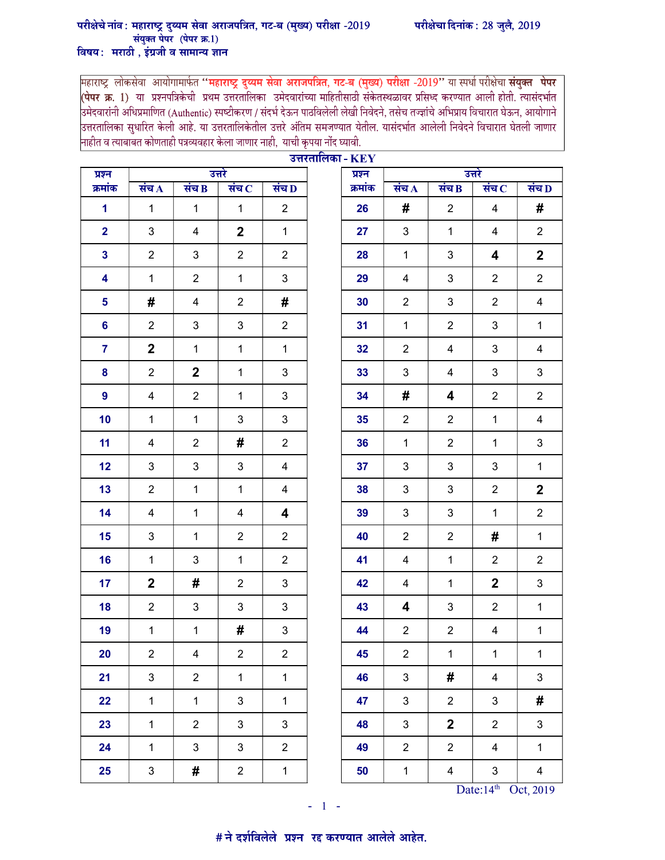## परीक्षेचे नांव : महाराष्ट्र दुय्यम सेवा अराजपत्रित, गट-ब (मुख्य) परीक्षा -2019 परीक्षेचा दिनांक : 28 जुलै, 2019 संयुक्त पेपर (पेपर क्र.1) विषय: मराठी, इंग्रजी व सामान्य ज्ञान

महाराष्ट्र लोकसेवा आयोगामार्फत **''महाराष्ट्र दुय्यम सेवा अराजपत्रित, गट-ब (मुख्य) परीक्षा -2019''** या स्पर्धा परीक्षेचा **संयुक्त पेपर**<br><mark>(पेपर क्र. 1</mark>) या प्रश्नपत्रिकेची प्रथम उत्तरतालिका उमेदवारांच्या माहितीसाठी संक ।<br>उमेदवारांनी अधिप्रमाणित (Authentic) स्पष्टीकरण / संदर्भ देऊन पाठविलेली लेखी निवेदने, तसेच तज्ज्ञांचे अभिप्राय विचारात घेऊन, आयोगाने उत्तरतालिका सुधारित केली आहे. या उत्तरतालिकेतील उत्तरे अंतिम समजण्यात येतील. यासंदर्भात आलेली निवेदने विचारात घेतली जाणार नाहीत व त्याबाबत कोणताही पत्रव्यवहार केला जाणार नाही, याची कृपया नोंद घ्यावी.

| प्रश्न           |                    |                           | उत्तरे         |                           | उत्तरतालिका - $\mathbf{KEY}$ | प्रश्न  | उत्तरे         |                         |                |                         |
|------------------|--------------------|---------------------------|----------------|---------------------------|------------------------------|---------|----------------|-------------------------|----------------|-------------------------|
| क्रमांक          | संच $\overline{A}$ | संच $\overline{B}$        | संच $\,$ $\,$  | संच $\bf D$               |                              | क्रमांक | संच $\bf{A}$   | संच B                   | संच $\,$       | संच D                   |
| $\mathbf{1}$     | $\mathbf{1}$       | $\mathbf 1$               | $\mathbf{1}$   | $\overline{2}$            |                              | 26      | #              | $\overline{2}$          | 4              | #                       |
| $\overline{2}$   | 3                  | 4                         | $\overline{2}$ | $\mathbf 1$               |                              | 27      | 3              | $\mathbf{1}$            | 4              | $\overline{2}$          |
| $\mathbf{3}$     | $\overline{2}$     | $\ensuremath{\mathsf{3}}$ | $\overline{2}$ | $\overline{2}$            |                              | 28      | $\mathbf{1}$   | 3                       | 4              | $\mathbf{2}$            |
| 4                | $\mathbf{1}$       | $\overline{2}$            | $\mathbf{1}$   | 3                         |                              | 29      | 4              | 3                       | $\overline{2}$ | $\overline{2}$          |
| 5                | #                  | 4                         | $\overline{2}$ | #                         |                              | 30      | $\overline{2}$ | 3                       | $\overline{2}$ | $\overline{\mathbf{4}}$ |
| 6                | $\overline{2}$     | 3                         | 3              | $\overline{c}$            |                              | 31      | $\mathbf{1}$   | $\overline{2}$          | 3              | $\mathbf{1}$            |
| $\overline{7}$   | $\overline{2}$     | $\mathbf{1}$              | $\mathbf{1}$   | $\mathbf 1$               |                              | 32      | $\overline{2}$ | $\overline{4}$          | 3              | $\overline{4}$          |
| 8                | $\overline{2}$     | $\boldsymbol{2}$          | $\mathbf{1}$   | 3                         |                              | 33      | 3              | 4                       | 3              | 3                       |
| $\boldsymbol{9}$ | 4                  | $\overline{2}$            | 1              | 3                         |                              | 34      | #              | 4                       | $\overline{2}$ | $\overline{2}$          |
| 10               | $\mathbf{1}$       | $\mathbf 1$               | $\mathbf{3}$   | 3                         |                              | 35      | $\overline{2}$ | $\overline{2}$          | $\mathbf{1}$   | $\overline{\mathbf{4}}$ |
| 11               | 4                  | $\overline{2}$            | #              | $\overline{c}$            |                              | 36      | $\mathbf{1}$   | $\overline{2}$          | $\mathbf 1$    | 3                       |
| 12               | 3                  | 3                         | 3              | 4                         |                              | 37      | 3              | 3                       | 3              | $\mathbf 1$             |
| 13               | $\overline{2}$     | $\mathbf 1$               | $\mathbf{1}$   | 4                         |                              | 38      | 3              | 3                       | $\overline{2}$ | $\mathbf{2}$            |
| 14               | 4                  | $\mathbf{1}$              | 4              | 4                         |                              | 39      | $\mathbf{3}$   | 3                       | 1              | $\overline{2}$          |
| 15               | 3                  | $\mathbf{1}$              | $\overline{2}$ | $\overline{c}$            |                              | 40      | $\overline{2}$ | $\overline{2}$          | #              | $\mathbf{1}$            |
| 16               | $\mathbf{1}$       | 3                         | $\mathbf{1}$   | $\overline{2}$            |                              | 41      | 4              | $\mathbf 1$             | $\overline{2}$ | $\overline{2}$          |
| 17               | $\overline{2}$     | #                         | $\overline{2}$ | 3                         |                              | 42      | $\overline{4}$ | $\mathbf{1}$            | $\mathbf 2$    | 3                       |
| 18               | $\overline{2}$     | $\ensuremath{\mathsf{3}}$ | 3              | 3                         |                              | 43      | 4              | 3                       | $\overline{2}$ | $\mathbf{1}$            |
| 19               | $\mathbf 1$        | $\mathbf{1}$              | #              | $\ensuremath{\mathsf{3}}$ |                              | 44      | $\overline{2}$ | $\overline{2}$          | 4              | $\mathbf{1}$            |
| 20               | $\overline{2}$     | $\overline{4}$            | $\overline{c}$ | $\overline{2}$            |                              | 45      | $\mathbf{2}$   | $\mathbf{1}$            | $\mathbf{1}$   | $\mathbf 1$             |
| 21               | $\mathbf{3}$       | $\overline{2}$            | $\mathbf{1}$   | $\mathbf{1}$              |                              | 46      | $\mathbf{3}$   | #                       | $\overline{4}$ | $\mathbf{3}$            |
| 22               | $\mathbf 1$        | $\mathbf{1}$              | $\mathbf{3}$   | $\mathbf{1}$              |                              | 47      | $\mathbf{3}$   | $\overline{2}$          | 3 <sup>1</sup> | #                       |
| 23               | $\mathbf{1}$       | $\overline{2}$            | $\mathbf{3}$   | 3                         |                              | 48      | $\mathfrak{S}$ | $\overline{\mathbf{2}}$ | $\overline{2}$ | $\mathfrak{S}$          |
| 24               | $\mathbf{1}$       | $\mathfrak{S}$            | $\mathbf{3}$   | $\overline{2}$            |                              | 49      | $\overline{2}$ | $\overline{2}$          | 4              | $\mathbf{1}$            |
| 25               | $\mathbf{3}$       | #                         | $\overline{c}$ | $\mathbf 1$               |                              | 50      | $\mathbf 1$    | $\overline{\mathbf{4}}$ | $\mathbf{3}$   | $\overline{\mathbf{4}}$ |

Date: $14<sup>th</sup>$  Oct, 2019